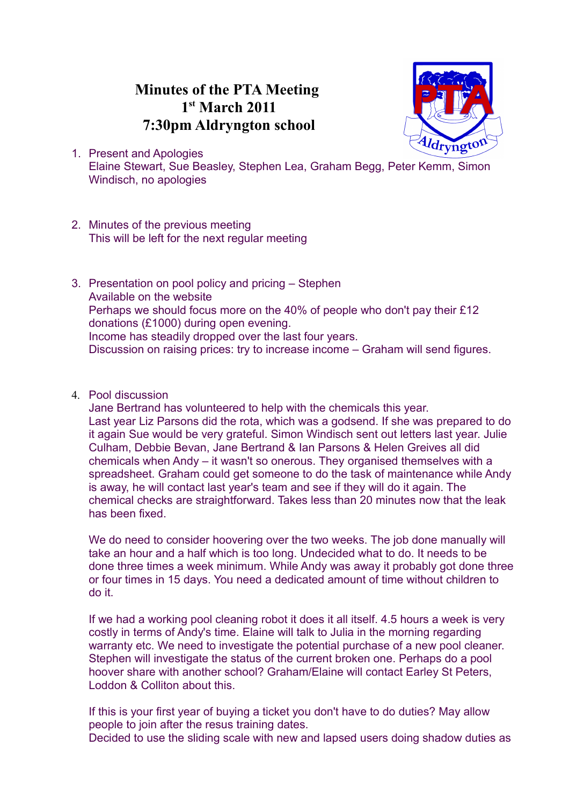## **Minutes of the PTA Meeting 1 st March 2011 7:30pm Aldryngton school**



- 1. Present and Apologies Elaine Stewart, Sue Beasley, Stephen Lea, Graham Begg, Peter Kemm, Simon Windisch, no apologies
- 2. Minutes of the previous meeting This will be left for the next regular meeting
- 3. Presentation on pool policy and pricing Stephen Available on the website Perhaps we should focus more on the 40% of people who don't pay their £12 donations (£1000) during open evening. Income has steadily dropped over the last four years. Discussion on raising prices: try to increase income – Graham will send figures.
- 4. Pool discussion

Jane Bertrand has volunteered to help with the chemicals this year. Last year Liz Parsons did the rota, which was a godsend. If she was prepared to do it again Sue would be very grateful. Simon Windisch sent out letters last year. Julie Culham, Debbie Bevan, Jane Bertrand & Ian Parsons & Helen Greives all did chemicals when Andy – it wasn't so onerous. They organised themselves with a spreadsheet. Graham could get someone to do the task of maintenance while Andy is away, he will contact last year's team and see if they will do it again. The chemical checks are straightforward. Takes less than 20 minutes now that the leak has been fixed.

We do need to consider hoovering over the two weeks. The job done manually will take an hour and a half which is too long. Undecided what to do. It needs to be done three times a week minimum. While Andy was away it probably got done three or four times in 15 days. You need a dedicated amount of time without children to do it.

If we had a working pool cleaning robot it does it all itself. 4.5 hours a week is very costly in terms of Andy's time. Elaine will talk to Julia in the morning regarding warranty etc. We need to investigate the potential purchase of a new pool cleaner. Stephen will investigate the status of the current broken one. Perhaps do a pool hoover share with another school? Graham/Elaine will contact Earley St Peters, Loddon & Colliton about this.

If this is your first year of buying a ticket you don't have to do duties? May allow people to join after the resus training dates. Decided to use the sliding scale with new and lapsed users doing shadow duties as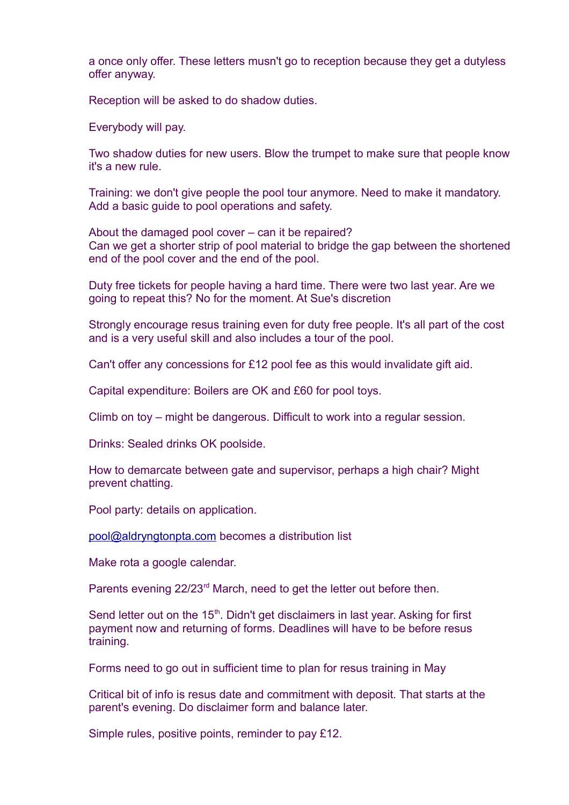a once only offer. These letters musn't go to reception because they get a dutyless offer anyway.

Reception will be asked to do shadow duties.

Everybody will pay.

Two shadow duties for new users. Blow the trumpet to make sure that people know it's a new rule.

Training: we don't give people the pool tour anymore. Need to make it mandatory. Add a basic guide to pool operations and safety.

About the damaged pool cover – can it be repaired? Can we get a shorter strip of pool material to bridge the gap between the shortened end of the pool cover and the end of the pool.

Duty free tickets for people having a hard time. There were two last year. Are we going to repeat this? No for the moment. At Sue's discretion

Strongly encourage resus training even for duty free people. It's all part of the cost and is a very useful skill and also includes a tour of the pool.

Can't offer any concessions for £12 pool fee as this would invalidate gift aid.

Capital expenditure: Boilers are OK and £60 for pool toys.

Climb on toy – might be dangerous. Difficult to work into a regular session.

Drinks: Sealed drinks OK poolside.

How to demarcate between gate and supervisor, perhaps a high chair? Might prevent chatting.

Pool party: details on application.

[pool@aldryngtonpta.com](mailto:pool@aldryngtonpta.com) becomes a distribution list

Make rota a google calendar.

Parents evening 22/23<sup>rd</sup> March, need to get the letter out before then.

Send letter out on the  $15<sup>th</sup>$ . Didn't get disclaimers in last year. Asking for first payment now and returning of forms. Deadlines will have to be before resus training.

Forms need to go out in sufficient time to plan for resus training in May

Critical bit of info is resus date and commitment with deposit. That starts at the parent's evening. Do disclaimer form and balance later.

Simple rules, positive points, reminder to pay £12.